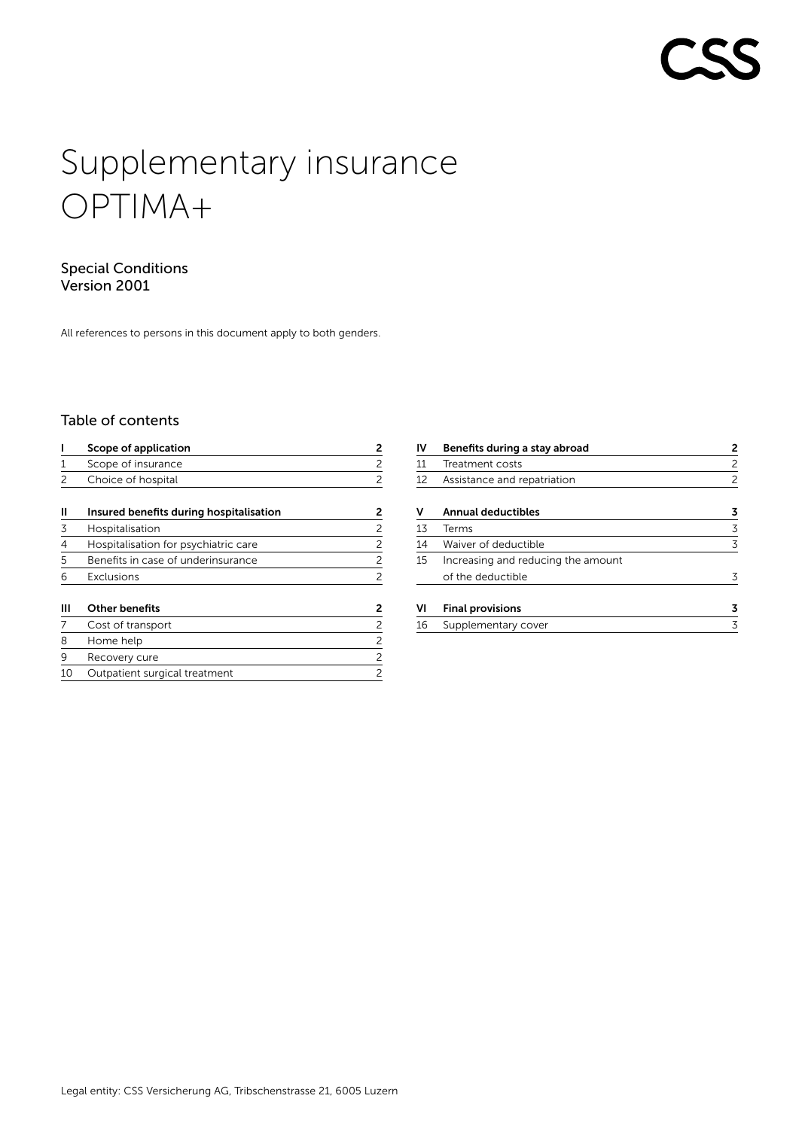# Supplementary insurance OPTIMA+

# Special Conditions Version 2001

All references to persons in this document apply to both genders.

# Table of contents

|    | Scope of application                    | 2              |
|----|-----------------------------------------|----------------|
|    | Scope of insurance                      | 2              |
|    | Choice of hospital                      | 2              |
| Ш  | Insured benefits during hospitalisation | 2              |
| 3  | Hospitalisation                         | 2              |
| 4  | Hospitalisation for psychiatric care    | $\overline{c}$ |
| 5  | Benefits in case of underinsurance      | $\overline{c}$ |
| 6  | Exclusions                              | $\overline{c}$ |
| Ш  | <b>Other benefits</b>                   | 2              |
|    | Cost of transport                       | 2              |
| 8  | Home help                               | 2              |
| 9  | Recovery cure                           | 2              |
| 10 | Outpatient surgical treatment           | 2              |

| IV | Benefits during a stay abroad      | 2 |
|----|------------------------------------|---|
| 11 | Treatment costs                    | 2 |
| 12 | Assistance and repatriation        | 2 |
| ۷  | Annual deductibles                 | 3 |
| 13 | Terms                              | 3 |
| 14 | Waiver of deductible               | 3 |
| 15 | Increasing and reducing the amount |   |
|    | of the deductible                  |   |
| VI | <b>Final provisions</b>            | 3 |
| 16 | Supplementary cover                | 3 |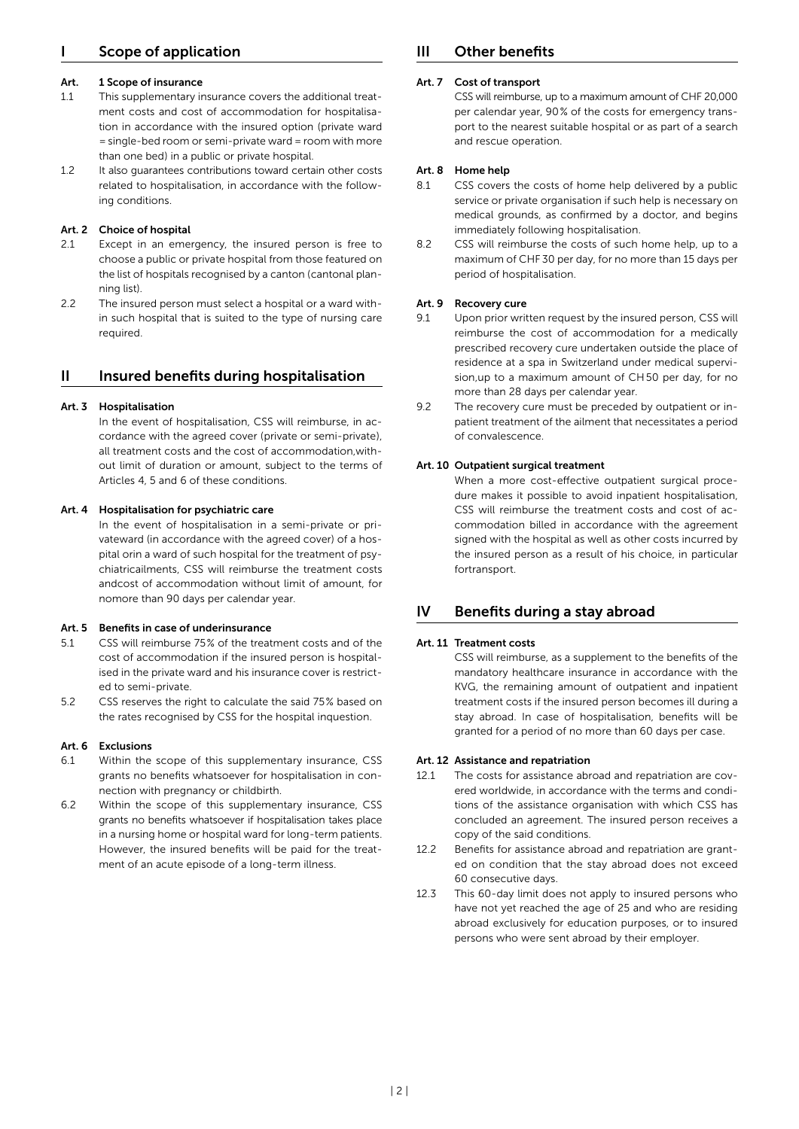# <span id="page-1-0"></span>Scope of application

#### Art. 1 Scope of insurance

- 1.1 This supplementary insurance covers the additional treatment costs and cost of accommodation for hospitalisation in accordance with the insured option (private ward =single-bed room or semi-private ward=room with more than one bed) in a public or private hospital.
- 1.2 It also guarantees contributions toward certain other costs related to hospitalisation, in accordance with the following conditions.

#### Art. 2 Choice of hospital

- 2.1 Except in an emergency, the insured person is free to choose a public or private hospital from those featured on the list of hospitals recognised by a canton (cantonal planning list).
- 2.2 The insured person must select a hospital or a ward within such hospital that is suited to the type of nursing care required.

#### II Insured benefits during hospitalisation

#### Art. 3 Hospitalisation

In the event of hospitalisation, CSS will reimburse, in accordance with the agreed cover (private or semi-private), all treatment costs and the cost of accommodation,without limit of duration or amount, subject to the terms of Articles 4, 5 and 6 of these conditions.

#### Art. 4 Hospitalisation for psychiatric care

In the event of hospitalisation in a semi-private or privateward (in accordance with the agreed cover) of a hospital orin a ward of such hospital for the treatment of psychiatricailments, CSS will reimburse the treatment costs andcost of accommodation without limit of amount, for nomore than 90 days per calendar year.

#### Art. 5 Benefits in case of underinsurance

- 5.1 CSS will reimburse 75 % of the treatment costs and of the cost of accommodation if the insured person is hospitalised in the private ward and his insurance cover is restricted to semi-private.
- 5.2 CSS reserves the right to calculate the said 75 % based on the rates recognised by CSS for the hospital inquestion.

#### Art. 6 Exclusions

- 6.1 Within the scope of this supplementary insurance, CSS grants no benefits whatsoever for hospitalisation in connection with pregnancy or childbirth.
- 6.2 Within the scope of this supplementary insurance, CSS grants no benefits whatsoever if hospitalisation takes place in a nursing home or hospital ward for long-term patients. However, the insured benefits will be paid for the treatment of an acute episode of a long-term illness.

# III Other benefits

### Art. 7 Cost of transport

CSS will reimburse, up to a maximum amount of CHF 20,000 per calendar year, 90 % of the costs for emergency transport to the nearest suitable hospital or as part of a search and rescue operation.

#### Art. 8 Home help

- 8.1 CSS covers the costs of home help delivered by a public service or private organisation if such help is necessary on medical grounds, as confirmed by a doctor, and begins immediately following hospitalisation.
- 8.2 CSS will reimburse the costs of such home help, up to a maximum of CHF 30 per day, for no more than 15 days per period of hospitalisation.

#### Art. 9 Recovery cure

- 9.1 Upon prior written request by the insured person, CSS will reimburse the cost of accommodation for a medically prescribed recovery cure undertaken outside the place of residence at a spa in Switzerland under medical supervision,up to a maximum amount of CH 50 per day, for no more than 28 days per calendar year.
- 9.2 The recovery cure must be preceded by outpatient or inpatient treatment of the ailment that necessitates a period of convalescence.

#### Art. 10 Outpatient surgical treatment

When a more cost-effective outpatient surgical procedure makes it possible to avoid inpatient hospitalisation, CSS will reimburse the treatment costs and cost of accommodation billed in accordance with the agreement signed with the hospital as well as other costs incurred by the insured person as a result of his choice, in particular fortransport

### IV Benefits during a stay abroad

#### Art. 11 Treatment costs

CSS will reimburse, as a supplement to the benefits of the mandatory healthcare insurance in accordance with the KVG, the remaining amount of outpatient and inpatient treatment costs if the insured person becomes ill during a stay abroad. In case of hospitalisation, benefits will be granted for a period of no more than 60 days per case.

#### Art. 12 Assistance and repatriation

- 12.1 The costs for assistance abroad and repatriation are covered worldwide, in accordance with the terms and conditions of the assistance organisation with which CSS has concluded an agreement. The insured person receives a copy of the said conditions.
- 12.2 Benefits for assistance abroad and repatriation are granted on condition that the stay abroad does not exceed 60 consecutive days.
- 12.3 This 60-day limit does not apply to insured persons who have not yet reached the age of 25 and who are residing abroad exclusively for education purposes, or to insured persons who were sent abroad by their employer.